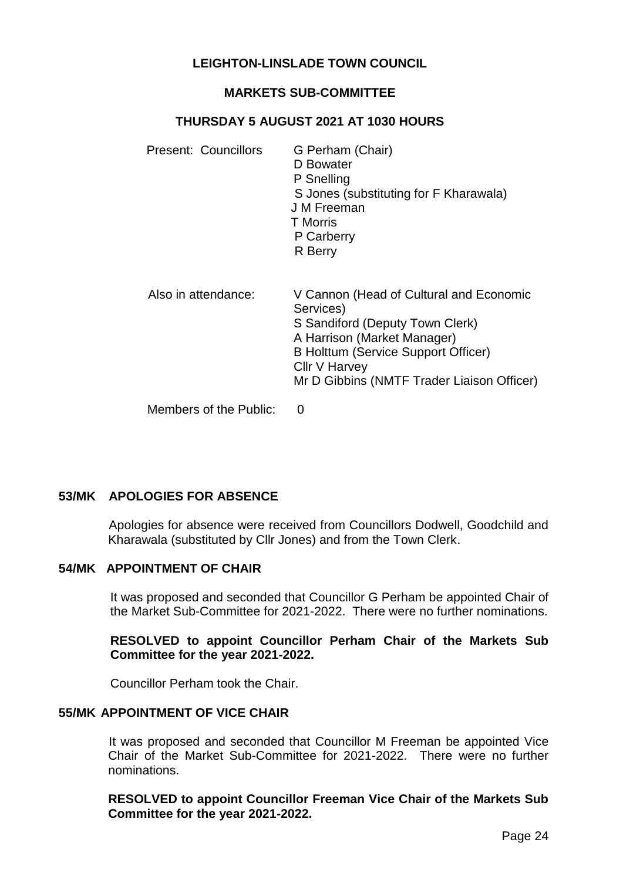## **LEIGHTON-LINSLADE TOWN COUNCIL**

#### **MARKETS SUB-COMMITTEE**

#### **THURSDAY 5 AUGUST 2021 AT 1030 HOURS**

| Present: Councillors   | G Perham (Chair)<br>D Bowater<br>P Snelling<br>S Jones (substituting for F Kharawala)<br>J M Freeman<br><b>T</b> Morris<br>P Carberry<br>R Berry                                                                             |
|------------------------|------------------------------------------------------------------------------------------------------------------------------------------------------------------------------------------------------------------------------|
| Also in attendance:    | V Cannon (Head of Cultural and Economic<br>Services)<br>S Sandiford (Deputy Town Clerk)<br>A Harrison (Market Manager)<br>B Holttum (Service Support Officer)<br>Cllr V Harvey<br>Mr D Gibbins (NMTF Trader Liaison Officer) |
| Members of the Public: | O                                                                                                                                                                                                                            |

# **53/MK APOLOGIES FOR ABSENCE**

Apologies for absence were received from Councillors Dodwell, Goodchild and Kharawala (substituted by Cllr Jones) and from the Town Clerk.

## **54/MK APPOINTMENT OF CHAIR**

It was proposed and seconded that Councillor G Perham be appointed Chair of the Market Sub-Committee for 2021-2022. There were no further nominations.

#### **RESOLVED to appoint Councillor Perham Chair of the Markets Sub Committee for the year 2021-2022.**

Councillor Perham took the Chair.

#### **55/MK APPOINTMENT OF VICE CHAIR**

It was proposed and seconded that Councillor M Freeman be appointed Vice Chair of the Market Sub-Committee for 2021-2022. There were no further nominations.

**RESOLVED to appoint Councillor Freeman Vice Chair of the Markets Sub Committee for the year 2021-2022.**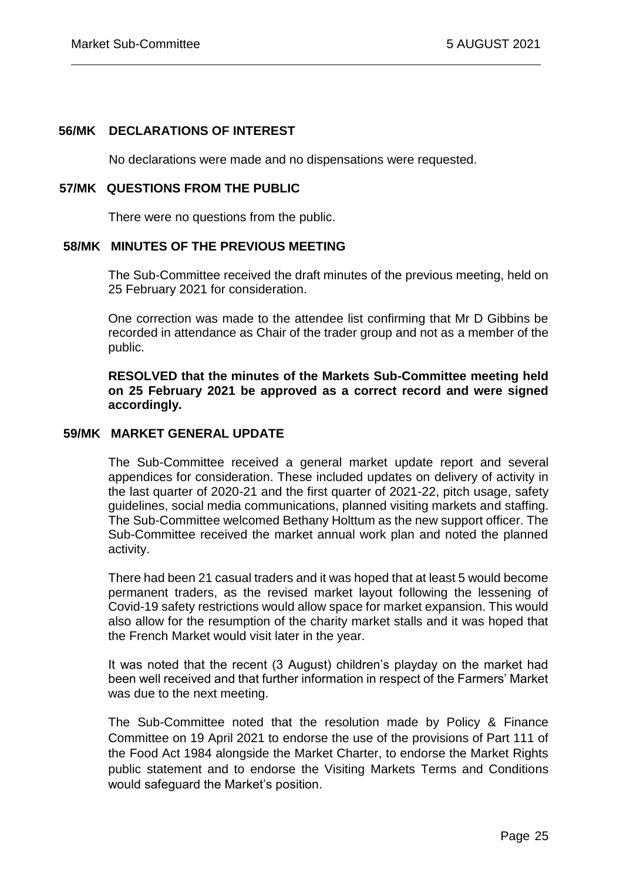#### **56/MK DECLARATIONS OF INTEREST**

No declarations were made and no dispensations were requested.

#### **57/MK QUESTIONS FROM THE PUBLIC**

There were no questions from the public.

## **58/MK MINUTES OF THE PREVIOUS MEETING**

The Sub-Committee received the draft minutes of the previous meeting, held on 25 February 2021 for consideration.

One correction was made to the attendee list confirming that Mr D Gibbins be recorded in attendance as Chair of the trader group and not as a member of the public.

**RESOLVED that the minutes of the Markets Sub-Committee meeting held on 25 February 2021 be approved as a correct record and were signed accordingly.**

## **59/MK MARKET GENERAL UPDATE**

The Sub-Committee received a general market update report and several appendices for consideration. These included updates on delivery of activity in the last quarter of 2020-21 and the first quarter of 2021-22, pitch usage, safety guidelines, social media communications, planned visiting markets and staffing. The Sub-Committee welcomed Bethany Holttum as the new support officer. The Sub-Committee received the market annual work plan and noted the planned activity.

There had been 21 casual traders and it was hoped that at least 5 would become permanent traders, as the revised market layout following the lessening of Covid-19 safety restrictions would allow space for market expansion. This would also allow for the resumption of the charity market stalls and it was hoped that the French Market would visit later in the year.

It was noted that the recent (3 August) children's playday on the market had been well received and that further information in respect of the Farmers' Market was due to the next meeting.

The Sub-Committee noted that the resolution made by Policy & Finance Committee on 19 April 2021 to endorse the use of the provisions of Part 111 of the Food Act 1984 alongside the Market Charter, to endorse the Market Rights public statement and to endorse the Visiting Markets Terms and Conditions would safeguard the Market's position.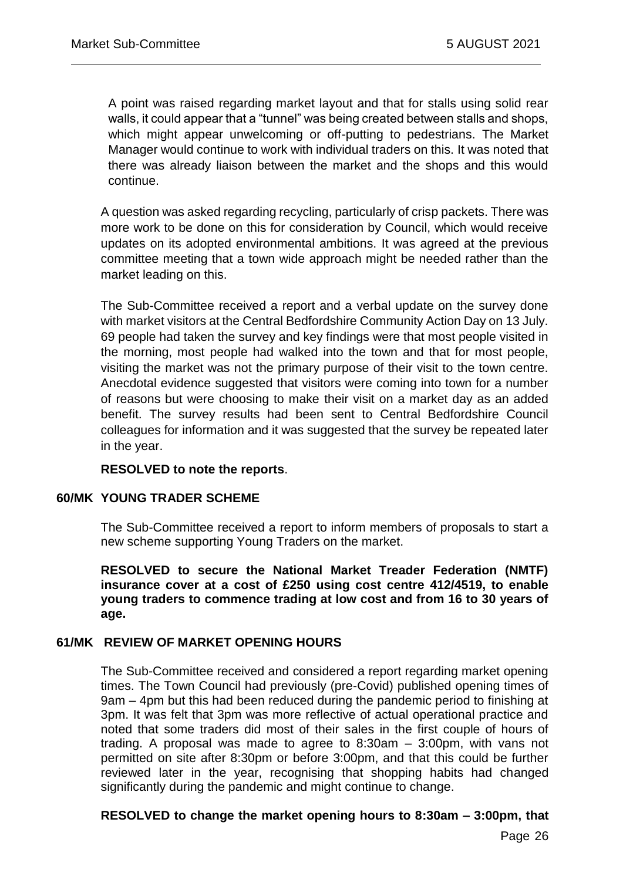A point was raised regarding market layout and that for stalls using solid rear walls, it could appear that a "tunnel" was being created between stalls and shops, which might appear unwelcoming or off-putting to pedestrians. The Market Manager would continue to work with individual traders on this. It was noted that there was already liaison between the market and the shops and this would continue.

A question was asked regarding recycling, particularly of crisp packets. There was more work to be done on this for consideration by Council, which would receive updates on its adopted environmental ambitions. It was agreed at the previous committee meeting that a town wide approach might be needed rather than the market leading on this.

The Sub-Committee received a report and a verbal update on the survey done with market visitors at the Central Bedfordshire Community Action Day on 13 July. 69 people had taken the survey and key findings were that most people visited in the morning, most people had walked into the town and that for most people, visiting the market was not the primary purpose of their visit to the town centre. Anecdotal evidence suggested that visitors were coming into town for a number of reasons but were choosing to make their visit on a market day as an added benefit. The survey results had been sent to Central Bedfordshire Council colleagues for information and it was suggested that the survey be repeated later in the year.

## **RESOLVED to note the reports**.

## **60/MK YOUNG TRADER SCHEME**

The Sub-Committee received a report to inform members of proposals to start a new scheme supporting Young Traders on the market.

**RESOLVED to secure the National Market Treader Federation (NMTF) insurance cover at a cost of £250 using cost centre 412/4519, to enable young traders to commence trading at low cost and from 16 to 30 years of age.**

## **61/MK REVIEW OF MARKET OPENING HOURS**

The Sub-Committee received and considered a report regarding market opening times. The Town Council had previously (pre-Covid) published opening times of 9am – 4pm but this had been reduced during the pandemic period to finishing at 3pm. It was felt that 3pm was more reflective of actual operational practice and noted that some traders did most of their sales in the first couple of hours of trading. A proposal was made to agree to 8:30am – 3:00pm, with vans not permitted on site after 8:30pm or before 3:00pm, and that this could be further reviewed later in the year, recognising that shopping habits had changed significantly during the pandemic and might continue to change.

## **RESOLVED to change the market opening hours to 8:30am – 3:00pm, that**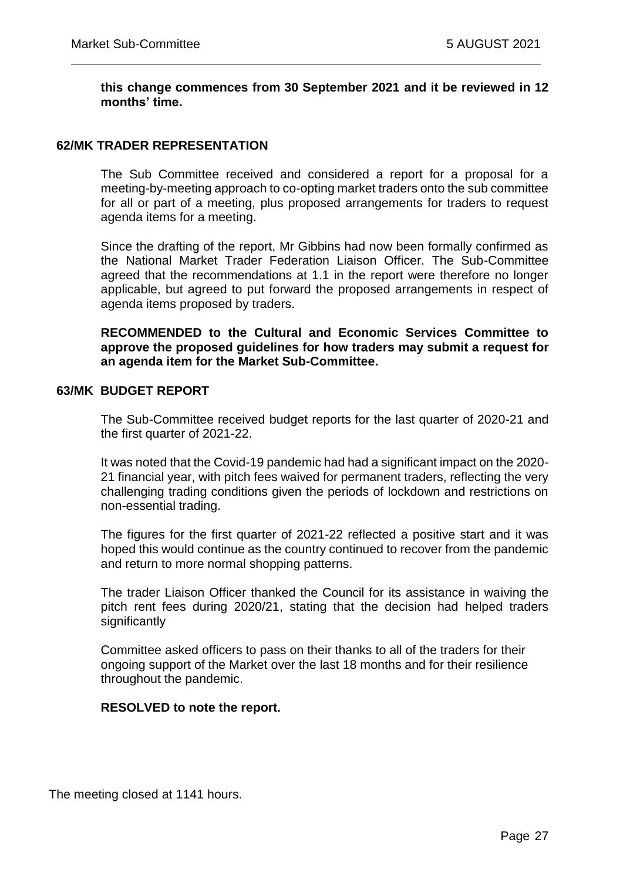#### **this change commences from 30 September 2021 and it be reviewed in 12 months' time.**

## **62/MK TRADER REPRESENTATION**

The Sub Committee received and considered a report for a proposal for a meeting-by-meeting approach to co-opting market traders onto the sub committee for all or part of a meeting, plus proposed arrangements for traders to request agenda items for a meeting.

Since the drafting of the report, Mr Gibbins had now been formally confirmed as the National Market Trader Federation Liaison Officer. The Sub-Committee agreed that the recommendations at 1.1 in the report were therefore no longer applicable, but agreed to put forward the proposed arrangements in respect of agenda items proposed by traders.

**RECOMMENDED to the Cultural and Economic Services Committee to approve the proposed guidelines for how traders may submit a request for an agenda item for the Market Sub-Committee.**

#### **63/MK BUDGET REPORT**

The Sub-Committee received budget reports for the last quarter of 2020-21 and the first quarter of 2021-22.

It was noted that the Covid-19 pandemic had had a significant impact on the 2020- 21 financial year, with pitch fees waived for permanent traders, reflecting the very challenging trading conditions given the periods of lockdown and restrictions on non-essential trading.

The figures for the first quarter of 2021-22 reflected a positive start and it was hoped this would continue as the country continued to recover from the pandemic and return to more normal shopping patterns.

The trader Liaison Officer thanked the Council for its assistance in waiving the pitch rent fees during 2020/21, stating that the decision had helped traders significantly

Committee asked officers to pass on their thanks to all of the traders for their ongoing support of the Market over the last 18 months and for their resilience throughout the pandemic.

#### **RESOLVED to note the report.**

The meeting closed at 1141 hours.